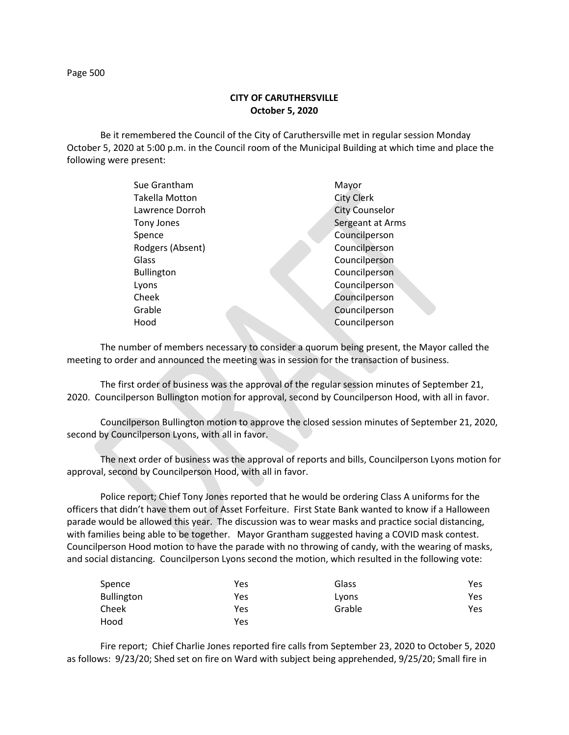## **CITY OF CARUTHERSVILLE October 5, 2020**

Be it remembered the Council of the City of Caruthersville met in regular session Monday October 5, 2020 at 5:00 p.m. in the Council room of the Municipal Building at which time and place the following were present:

| Sue Grantham      | Mayor                 |
|-------------------|-----------------------|
| Takella Motton    | <b>City Clerk</b>     |
| Lawrence Dorroh   | <b>City Counselor</b> |
| Tony Jones        | Sergeant at Arms      |
| Spence            | Councilperson         |
| Rodgers (Absent)  | Councilperson         |
| Glass             | Councilperson         |
| <b>Bullington</b> | Councilperson         |
| Lyons             | Councilperson         |
| Cheek             | Councilperson         |
| Grable            | Councilperson         |
| Hood              | Councilperson         |
|                   |                       |

The number of members necessary to consider a quorum being present, the Mayor called the meeting to order and announced the meeting was in session for the transaction of business.

The first order of business was the approval of the regular session minutes of September 21, 2020. Councilperson Bullington motion for approval, second by Councilperson Hood, with all in favor.

Councilperson Bullington motion to approve the closed session minutes of September 21, 2020, second by Councilperson Lyons, with all in favor.

The next order of business was the approval of reports and bills, Councilperson Lyons motion for approval, second by Councilperson Hood, with all in favor.

Police report; Chief Tony Jones reported that he would be ordering Class A uniforms for the officers that didn't have them out of Asset Forfeiture. First State Bank wanted to know if a Halloween parade would be allowed this year. The discussion was to wear masks and practice social distancing, with families being able to be together. Mayor Grantham suggested having a COVID mask contest. Councilperson Hood motion to have the parade with no throwing of candy, with the wearing of masks, and social distancing. Councilperson Lyons second the motion, which resulted in the following vote:

| Spence            | Yes | Glass  | Yes |
|-------------------|-----|--------|-----|
| <b>Bullington</b> | Yes | Lyons  | Yes |
| Cheek             | Yes | Grable | Yes |
| Hood              | Yes |        |     |

Fire report; Chief Charlie Jones reported fire calls from September 23, 2020 to October 5, 2020 as follows: 9/23/20; Shed set on fire on Ward with subject being apprehended, 9/25/20; Small fire in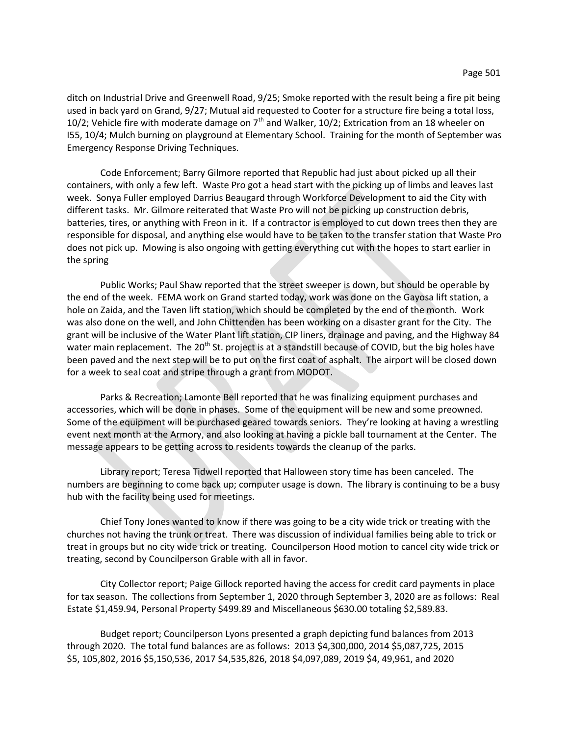ditch on Industrial Drive and Greenwell Road, 9/25; Smoke reported with the result being a fire pit being used in back yard on Grand, 9/27; Mutual aid requested to Cooter for a structure fire being a total loss, 10/2; Vehicle fire with moderate damage on  $7<sup>th</sup>$  and Walker, 10/2; Extrication from an 18 wheeler on I55, 10/4; Mulch burning on playground at Elementary School. Training for the month of September was Emergency Response Driving Techniques.

Code Enforcement; Barry Gilmore reported that Republic had just about picked up all their containers, with only a few left. Waste Pro got a head start with the picking up of limbs and leaves last week. Sonya Fuller employed Darrius Beaugard through Workforce Development to aid the City with different tasks. Mr. Gilmore reiterated that Waste Pro will not be picking up construction debris, batteries, tires, or anything with Freon in it. If a contractor is employed to cut down trees then they are responsible for disposal, and anything else would have to be taken to the transfer station that Waste Pro does not pick up. Mowing is also ongoing with getting everything cut with the hopes to start earlier in the spring

Public Works; Paul Shaw reported that the street sweeper is down, but should be operable by the end of the week. FEMA work on Grand started today, work was done on the Gayosa lift station, a hole on Zaida, and the Taven lift station, which should be completed by the end of the month. Work was also done on the well, and John Chittenden has been working on a disaster grant for the City. The grant will be inclusive of the Water Plant lift station, CIP liners, drainage and paving, and the Highway 84 water main replacement. The 20<sup>th</sup> St. project is at a standstill because of COVID, but the big holes have been paved and the next step will be to put on the first coat of asphalt. The airport will be closed down for a week to seal coat and stripe through a grant from MODOT.

Parks & Recreation; Lamonte Bell reported that he was finalizing equipment purchases and accessories, which will be done in phases. Some of the equipment will be new and some preowned. Some of the equipment will be purchased geared towards seniors. They're looking at having a wrestling event next month at the Armory, and also looking at having a pickle ball tournament at the Center. The message appears to be getting across to residents towards the cleanup of the parks.

Library report; Teresa Tidwell reported that Halloween story time has been canceled. The numbers are beginning to come back up; computer usage is down. The library is continuing to be a busy hub with the facility being used for meetings.

Chief Tony Jones wanted to know if there was going to be a city wide trick or treating with the churches not having the trunk or treat. There was discussion of individual families being able to trick or treat in groups but no city wide trick or treating. Councilperson Hood motion to cancel city wide trick or treating, second by Councilperson Grable with all in favor.

City Collector report; Paige Gillock reported having the access for credit card payments in place for tax season. The collections from September 1, 2020 through September 3, 2020 are as follows: Real Estate \$1,459.94, Personal Property \$499.89 and Miscellaneous \$630.00 totaling \$2,589.83.

Budget report; Councilperson Lyons presented a graph depicting fund balances from 2013 through 2020. The total fund balances are as follows: 2013 \$4,300,000, 2014 \$5,087,725, 2015 \$5, 105,802, 2016 \$5,150,536, 2017 \$4,535,826, 2018 \$4,097,089, 2019 \$4, 49,961, and 2020